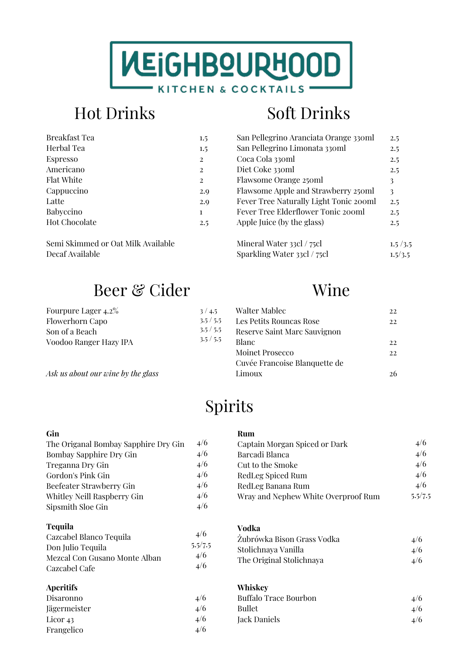

# Hot Drinks Soft Drinks

| Breakfast Tea        | $1.5\,$ |
|----------------------|---------|
| Herbal Tea           | 1.5     |
| <b>Espresso</b>      | 2       |
| Americano            | 2       |
| <b>Flat White</b>    | 2       |
| Cappuccino           | 2.9     |
| Latte                | 2.9     |
| Babyccino            | 1       |
| <b>Hot Chocolate</b> | 2.5     |
|                      |         |

Semi Skimmed or Oat Milk Available Decaf Available

## Beer & Cider Wine

| Fourpure Lager 4.2%    | 3/4.5   |
|------------------------|---------|
| <b>Flowerhorn Capo</b> | 3.5/5.5 |
| Son of a Beach         | 3.5/5.5 |
| Voodoo Ranger Hazy IPA | 3.5/5.5 |

*Ask us about our wine by the glass*

| San Pellegrino Aranciata Orange 330ml  | 2.5     |
|----------------------------------------|---------|
| San Pellegrino Limonata 330ml          | 2.5     |
| Coca Cola 330ml                        | 2.5     |
| Diet Coke 330ml                        | 2.5     |
| Flawsome Orange 250ml                  | 3       |
| Flawsome Apple and Strawberry 250ml    | 3       |
| Fever Tree Naturally Light Tonic 200ml | 2.5     |
| Fever Tree Elderflower Tonic 200ml     | 2.5     |
| Apple Juice (by the glass)             | 2.5     |
|                                        |         |
| Mineral Water 33cl / 75cl              | 1.5/3.5 |
| Sparkling Water 33cl / 75cl            | 1.5/3.5 |
|                                        |         |

| <b>Walter Mablec</b>          | 22. |
|-------------------------------|-----|
| Les Petits Rouncas Rose       | 22  |
| Reserve Saint Marc Sauvignon  |     |
| Blanc                         | 22  |
| Moinet Prosecco               | 22  |
| Cuvée Francoise Blanquette de |     |
| Limoux                        |     |

# Spirits

#### **Gin**

| The Origanal Bombay Sapphire Dry Gin | 4/6 |
|--------------------------------------|-----|
| Bombay Sapphire Dry Gin              | 4/6 |
| Treganna Dry Gin                     | 4/6 |
| Gordon's Pink Gin                    | 4/6 |
| Beefeater Strawberry Gin             | 4/6 |
| Whitley Neill Raspberry Gin          | 4/6 |
| Sipsmith Sloe Gin                    | 4/6 |

#### **Tequila**

| Cazcabel Blanco Tequila       | 4/6     |
|-------------------------------|---------|
| Don Julio Tequila             | 5.5/7.5 |
| Mezcal Con Gusano Monte Alban | 4/6     |
| Cazcabel Cafe                 | 4/6     |

#### **Aperitifs**

| Disaronno           | 4/6 |
|---------------------|-----|
| Jägermeister        | 4/6 |
| Licor <sub>43</sub> | 4/6 |
| Frangelico          | 4/6 |
|                     |     |

### **Rum**

| Captain Morgan Spiced or Dark       | 4/6     |
|-------------------------------------|---------|
| Barcadi Blanca                      | 4/6     |
| Cut to the Smoke                    | 4/6     |
| RedLeg Spiced Rum                   | 4/6     |
| RedLeg Banana Rum                   | 4/6     |
| Wray and Nephew White Overproof Rum | 5.5/7.5 |

### **Vodka**

| Żubrówka Bison Grass Vodka | 4/6 |
|----------------------------|-----|
| Stolichnaya Vanilla        | 4/6 |
| The Original Stolichnaya   | 4/6 |

#### **Whiskey**

| Buffalo Trace Bourbon | 4/6 |
|-----------------------|-----|
| Bullet                | 4/6 |
| Jack Daniels          | 4/6 |
|                       |     |